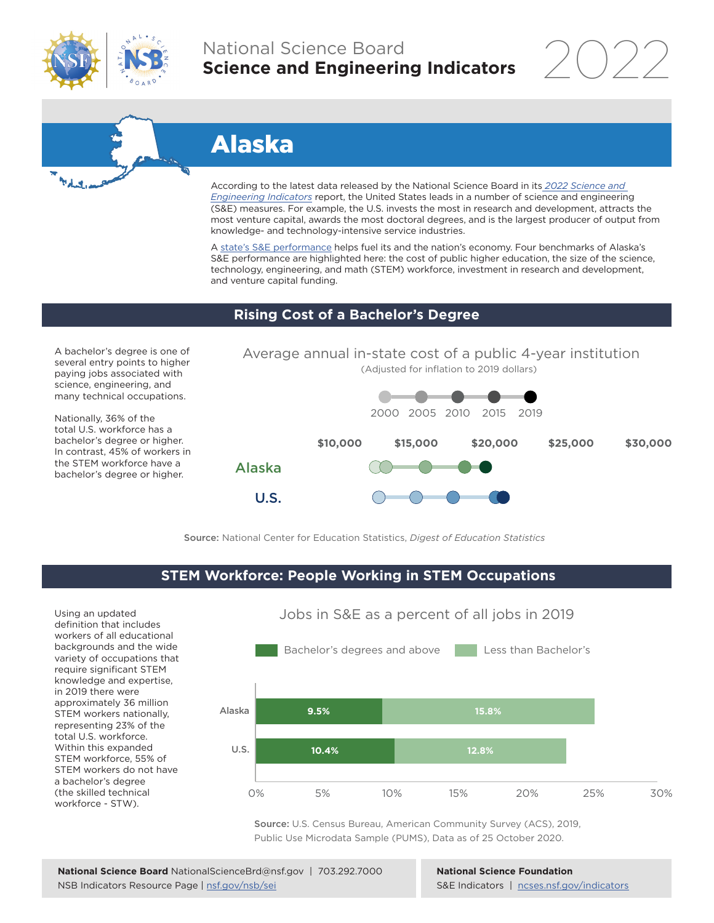

а.

# National Science Board **Science and Engineering Indicators**

2022

# Alaska

U.S.

According to the latest data released by the National Science Board in its *[2022 Science and](https://www.ncses.nsf.gov/indicators)  [Engineering Indicators](https://www.ncses.nsf.gov/indicators)* report, the United States leads in a number of science and engineering (S&E) measures. For example, the U.S. invests the most in research and development, attracts the most venture capital, awards the most doctoral degrees, and is the largest producer of output from knowledge- and technology-intensive service industries.

A state's S&E performance helps fuel its and the nation's economy. Four benchmarks of Alaska's S&E performance are highlighted here: the cost of public higher education, the size of the science, technology, engineering, and math (STEM) workforce, investment in research and development, and venture capital funding.

### **Rising Cost of a Bachelor's Degree**

A bachelor's degree is one of several entry points to higher paying jobs associated with science, engineering, and many technical occupations.

Nationally, 36% of the total U.S. workforce has a bachelor's degree or higher. In contrast, 45% of workers in the STEM workforce have a bachelor's degree or higher.



Source: National Center for Education Statistics, *Digest of Education Statistics*

## **STEM Workforce: People Working in STEM Occupations**

Using an updated definition that includes workers of all educational backgrounds and the wide variety of occupations that require significant STEM knowledge and expertise, in 2019 there were approximately 36 million STEM workers nationally, representing 23% of the total U.S. workforce. Within this expanded STEM workforce, 55% of STEM workers do not have a bachelor's degree (the skilled technical workforce - STW).



Source: U.S. Census Bureau, American Community Survey (ACS), 2019, Public Use Microdata Sample (PUMS), Data as of 25 October 2020.

**National Science Foundation** S&E Indicators | [ncses.nsf.gov/indicators](https://www.ncses.nsf.gov/indicators)

# Jobs in S&E as a percent of all jobs in 2019